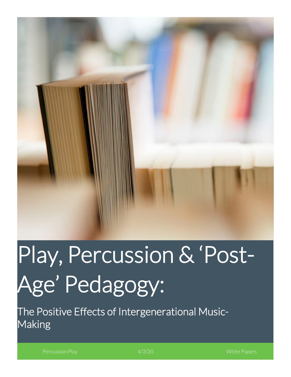

# Play, Percussion & 'Post-Age' Pedagogy:

The Positive Effects of Intergenerational Music-Making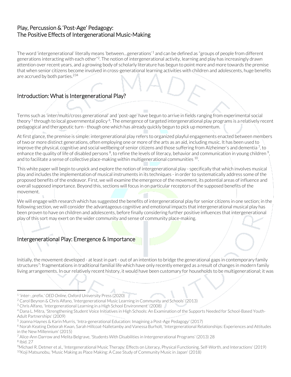#### Play, Percussion & 'Post-Age' Pedagogy: The Positive Effects of Intergenerational Music-Making

The word 'intergenerational' literally means 'between…generations'[1](#page-1-0) and can be defined as "groups of people from different generations interacting with each other"2. The notion of intergenerational activity, learning and play has increasingly drawn attention over recent years, and a growing body of scholarly literature has begun to point more and more towards the premise that when senior citizens become involved in cross-generational learning activities with children and adolescents, huge benefits are accrued by both parties. 234

## Introduction: What is Intergenerational Play?

Terms such as 'inter/multi/cross generational' and 'post-age' have begun to arrive in fields ranging from experimental social theory <sup>5</sup> through to local governmental policy <sup>6</sup>. The emergence of targeted intergenerational play programs is a relatively recent pedagogical and therapeutic turn - though one which has already quickly begun to pick up momentum.

At first glance, the premise is simple: intergenerational play refers to organized playful engagements enacted between members of two or more distinct generations, often employing one or more of the arts as an aid, including music. It has been used to improve the physical, cognitive and social wellbeing of senior citizens and those suffering from Alzheimer's and dementia<sup>7</sup>, to enhance the quality of life of disabled persons  $^8$ , to refine the levels of literacy, behavior and communication in young children  $^9$ , and to facilitate a sense of collective place-making within multigenerational communities <sup>10</sup>.

This white paper will begin to unpick and explore the notion of intergenerational play - specifically that which involves musical play and includes the implementation of musical instruments in its techniques - in order to systematically address some of the proposed benefits of the endeavor. First, we will examine the emergence of the movement, its potential areas of influence and overall supposed importance. Beyond this, sections will focus in on particular receptors of the supposed benefits of the movement.

We will engage with research which has suggested the benefits of intergenerational play for senior citizens in one section; in the following section, we will consider the advantageous cognitive and emotional impacts that intergenerational musical play has been proven to have on children and adolescents, before finally considering further positive influences that intergenerational play of this sort may exert on the wider community and sense of community place-making.

#### Intergenerational Play: Emergence & Importance

Initially, the movement developed - at least in part - out of an intention to bridge the generational gaps in contemporary family structures<sup>7</sup>: fragmentations in traditional familial life which have only recently emerged as a result of changes in modern family living arrangements. In our relatively recent history, it would have been customary for households to be multigenerational; it was

<sup>8</sup> Ibid. 27

<span id="page-1-0"></span><sup>1</sup> 'inter-, prefix.' *OED Online*, Oxford University Press (2020)

<sup>2</sup> Carol Beynon & Chris Alfano, 'Intergenerational Music Learning in Community and Schools' (2013)

<sup>&</sup>lt;sup>3</sup> Chris Alfano, 'Intergenerational Learning in a High School Environment' (2008)

<sup>4</sup> Dana L. Mitra, 'Strengthening Student Voice Initiatives in High Schools: An Examination of the Supports Needed for School-Based Youth-Adult Partnerships' (2009)

<sup>5</sup> Joanna Haynes & Karin Murris, 'Intra-generational Education: Imagining a Post-Age Pedagogy' (2017)

<sup>6</sup> Norah Keating Deborah Kwan, Sarah Hillcoat-Nalletamby and Vanessa Burholt, 'Intergenerational Relationships: Experiences and Attitudes in the New Millennium' (2015)

<sup>7</sup> Alice-Ann Darrow and Melita Belgrave, 'Students With Disabilities in Intergenerational Programs' (2013) 28

<sup>9</sup>Michael R. Detmer et al., 'Intergenerational Music Therapy: Effects on Literacy, Physical Functioning, Self-Worth, and Interactions' (2019)  $10$ Koji Matsunobu, 'Music Making as Place Making: A Case Study of Community Music in Japan' (2018)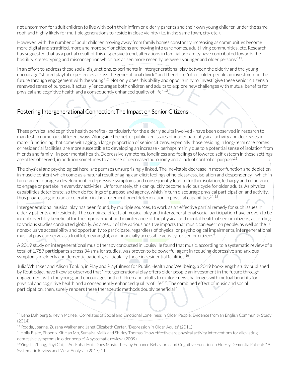not uncommon for adult children to live with both their infirm or elderly parents and their own young children under the same roof, and highly likely for multiple generations to reside in close vicinity (i.e. in the same town, city etc.).

However, with the number of adult children moving away from family homes constantly increasing as communities become more digital and stratified, more and more senior citizens are moving into care homes, adult living communities, etc. Research has suggested that as a partial result of this dispersive trend, alterations in familial proximity have contributed towards the hostility, stereotyping and misconception which has arisen more recently between younger and older persons $^{7,11}\!.$ 

In an effort to address these social disjunctions, experiments in intergenerational play between the elderly and the young encourage "shared playful experiences across the generational divide" and therefore "offer…older people an investment in the future through engagement with the young"<sup>12</sup>. Not only does this ability and opportunity to 'invest' give these senior citizens a renewed sense of purpose, it actually "encourages both children and adults to explore new challenges with mutual benefits for physical and cognitive health and a consequently enhanced quality of life" 1[2](#page-2-0).

## Fostering Intergenerational Connection: The Impact on Senior Citizens

These physical and cognitive health benefits - particularly for the elderly adults involved - have been observed in research to manifest in numerous different ways. Alongside the better publicized issues of inadequate physical activity and decreases in motor functioning that come with aging, a large proportion of senior citizens, especially those residing in long-term care homes or residential facilities, are more susceptible to developing an increase - perhaps mainly due to a potential sense of isolation from friends and family - in poor mental health. Depressive symptoms, loneliness and feelings of lowered self-esteem in these settings are often observed, in addition sometimes to a sense of decreased autonomy and a lack of control or purpose13.

The physical and psychological here, are perhaps unsurprisingly linked. The inevitable decrease in motor function and depletion in muscle content which come as a natural result of aging can elicit feelings of helplessness, isolation and despondency - which in turn can encourage a development in depressive symptoms and consequently lead to further isolation, lethargy and reluctance to engage or partake in everyday activities. Unfortunately, this can quickly become a vicious cycle for older adults. As physical capabilities deteriorate, so then do feelings of purpose and agency, which in turn discourage physical participation and activity, thus progressing into an acceleration in the aforementioned deterioration in physical capabilities<sup>14</sup>;<sup>15</sup>.

Intergenerational musical play has been found, by multiple sources, to work as an effective partial remedy for such issues in elderly patients and residents. The combined effects of musical play and intergenerational social participation have proven to be incontrovertibly beneficial for the improvement and maintenance of the physical and mental health of senior citizens, according to various studies conducted globally. As a result of the various positive impacts that music can exert on people, as well as the nonexclusive accessibility and opportunity to participate, regardless of physical or psychological impairments, intergenerational musical play can serve as a fruitful, meaningful, and financially accessible activity for senior citizens<sup>9</sup>.

A 2019 study on intergenerational music therapy conducted in Louisville found that music, according to a systematic review of a total of 1,757 participants across 34 smaller studies, was proven to be powerful agent in reducing depressive and anxious symptoms in elderly and dementia patients, particularly those in residential facilities <sup>16</sup>.

Julia Whitaker and Alison Tonkin, in Play and Playfulness for Public Health and Wellbeing, a 2019 book-length study published by Routledge, have likewise observed that "intergenerational play offers older people an investment in the future through engagement with the young, and encourages both children and adults to explore new challenges with mutual benefits for physical and cognitive health and a consequently enhanced quality of life"12. The combined effect of music and social participation, then, surely renders these therapeutic methods doubly beneficial<sup>9</sup>.

<span id="page-2-0"></span><sup>13</sup> Lena Dahlberg & Kevin McKee, 'Correlates of Social and Emotional Loneliness in Older People: Evidence from an English Community Study' (2014)

<sup>14</sup> Rodda, Joanne, Zuzana Walker and Janet Elizabeth Carter, 'Depression in Older Adults' (2011)

<sup>15</sup>Holly Blake, Phoenix Kit Han Mo, Sumaira Malik and Shirley Thomas, 'How effective are physical activity interventions for alleviating depressive symptoms in older people? A systematic review' (2009)

<sup>&</sup>lt;sup>16</sup>Yingshi Zhang, Jiayi Cai, Li An, Fuhai Hui, 'Does Music Therapy Enhance Behavioral and Cognitive Function in Elderly Dementia Patients? A Systematic Review and Meta-Analysis' (2017) 11.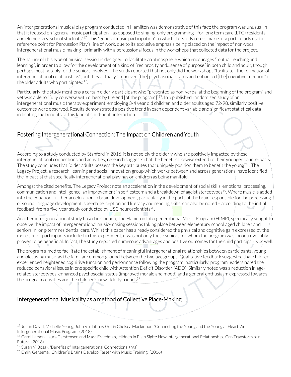An intergenerational musical play program conducted in Hamilton was demonstrative of this fact: the program was unusual in that it focused on "general music participation—as opposed to singing-only programming—for long term care (LTC) residents and elementary-school students"17. This "general music participation" to which the study refers makes it a particularly useful reference point for Percussion Play's line of work, due to its exclusive emphasis being placed on the impact of non-vocal intergenerational music-making - primarily with a percussional focus in the workshops that collected data for the project.

The nature of this type of musical session is designed to facilitate an atmosphere which encourages "mutual teaching and learning", in order to allow for the development of a kind of "reciprocity and…sense of purpose" in both child and adult, though perhaps most notably for the seniors involved. The study reported that not only did the workshops "facilitate…the formation of intergenerational relationships", but they actually "improved [the] psychosocial status and enhanced [the] cognitive function" of the older adults who participated<sup>17</sup>.

Particularly, the study mentions a certain elderly participant who "presented as non-verbal at the beginning of the program" and yet was able to "fully converse with others by the end [of the program]"17. In a published randomized study of an intergenerational music therapy experiment, employing 3-4 year old children and older adults aged 72-98, similarly positive outcomes were observed. Results demonstrated a positive trend in each dependent variable and significant statistical data indicating the benefits of this kind of child-adult interaction.

## Fostering Intergenerational Connection: The Impact on Children and Youth

According to a study conducted by Stanford in 2016, it is not solely the elderly who are positively impacted by these intergenerational connections and activities; research suggests that the benefits likewise extend to their younger counterparts. The study concludes that "older adults possess the key attributes that uniquely position them to benefit the young"<sup>18</sup>. The Legacy Project, a research, learning and social innovation group which works between and across generations, have identified the impact(s) that specifically intergenerational play has on children as being manifold. [3](#page-3-0)

Amongst the cited benefits, The Legacy Project note an acceleration in the development of social skills, emotional processing, communication and intelligence, an improvement in self-esteem and a breakdown of ageist stereotypes<sup>19</sup>. Where music is added into the equation, further acceleration in brain development, particularly in the parts of the brain responsible for the processing of sound, language development, speech perception and literacy and reading skills, can also be noted – according to the initial feedback from a five-year study conducted by USC neuroscientists<sup>20</sup>.

Another intergenerational study based in Canada, The Hamilton Intergenerational Music Program (HIMP), specifically sought to observe the impact of intergenerational music-making sessions taking place between elementary school aged children and seniors in long-term residential care. Whilst this paper has already considered the physical and cognitive gain expressed by the more senior participants included in this experiment, it was not only these seniors for whom the program was incontrovertibly proven to be beneficial. In fact, the study reported numerous advantages and positive outcomes for the child participants as well.

The program aimed to facilitate the establishment of meaningful intergenerational relationships between participants, young and old, using music as the familiar common ground between the two age groups. Qualitative feedback suggested that children experienced heightened cognitive function and performance following the program; particularly, program leaders noted the reduced behavioral issues in one specific child with Attention Deficit Disorder (ADD). Similarly noted was a reduction in agerelated stereotypes, enhanced psychosocial status (improved morale and mood) and a general enthusiasm expressed towards the program activities and the children's new elderly friends $17$ .

## Intergenerational Musicality as a method of Collective Place-Making

<span id="page-3-0"></span><sup>17</sup> Justin David, Michelle Yeung, John Vu, Tiffany Got & Chelsea Mackinnon, 'Connecting the Young and the Young at Heart: An Intergenerational Music Program' (2018)

<sup>&</sup>lt;sup>18</sup> Carol Larson, Laura Carstensen and Marc Freedman, 'Hidden in Plain Sight: How Intergenerational Relationships Can Transform our Future' (2016)

<sup>&</sup>lt;sup>19</sup> Susan V. Bosak, 'Benefits of Intergenerational Connections' (n/a)

<sup>&</sup>lt;sup>20</sup> Emily Gersema, 'Children's Brains Develop Faster with Music Training' (2016)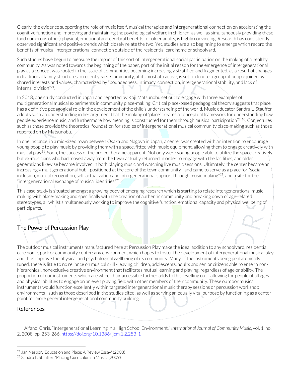Clearly, the evidence supporting the role of music itself, musical therapies and intergenerational connection on accelerating the cognitive function and improving and maintaining the psychological welfare in children, as well as simultaneously providing these (and numerous other) physical, emotional and cerebral benefits for older adults, is highly convincing. Research has consistently observed significant and positive trends which closely relate the two. Yet, studies are also beginning to emerge which record the benefits of musical intergenerational connection outside of the residential care home or schoolyard.

Such studies have begun to measure the impact of this sort of intergenerational social participation on the making of a healthy community. As was noted towards the beginning of the paper, part of the initial reason for the emergence of intergenerational play as a concept was rooted in the issue of communities becoming increasingly stratified and fragmented, as a result of changes in traditional family structures in recent years. Community, at its most attractive, is set to denote a group of people joined by shared interests and values, characterized by "boundedness, intimacy, connection, intergenerational stability, and lack of internal division"21.

In 2018, one study conducted in Japan and reported by Koji Matsunobu set out to engage with three examples of multigenerational musical experiments in community place-making. Critical place-based pedagogical theory suggests that place has a definitive pedagogical role in the development of the child's understanding of the world. Music educator Sandra L. Stauffer adopts such an understanding in her argument that the making of 'place' creates a conceptual framework for understanding how people experience music, and furthermore how meaning is constructed for them through musical participation<sup>22</sup>;<sup>10</sup>. Conjectures such as these provide the theoretical foundation for studies of intergenerational musical community place-making such as those reported on by Matsunobu.

In one instance, in a mid-sized town between Osaka and Nagoya in Japan, a center was created with an intention to encourage young people to play music by providing them with a space, fitted with music equipment, allowing them to engage creatively with musical play<sup>21</sup>. Soon, the success of the project became apparent. Not only were young people able to utilize the space creatively, but ex-musicians who had moved away from the town actually returned in order to engage with the facilities, and older generations likewise became involved in both playing music and watching live music sessions. Ultimately, the center became an increasingly multigenerational hub - positioned at the core of the town community - and came to serve as a place for "social inclusion, mutual recognition, self-actualization and intergenerational support through music-making"21, and a site for the "intergenerational exchange of musical identities" $^{21}$ .

This case-study is situated amongst a growing body of emerging research which is starting to relate intergenerational musicmaking with place-making and specifically with the creation of authentic community and breaking down of age-related stereotypes, all whilst simultaneously working to improve the cognitive function, emotional capacity and physical wellbeing of participants. [4](#page-4-0)

## The Power of Percussion Play

The outdoor musical instruments manufactured here at Percussion Play make the ideal addition to any schoolyard, residential care home, park or community center: any environment which hopes to foster the development of intergenerational musical play and thus improve the physical and psychological wellbeing of its community. Many of the instruments being pentatonically tuned, there is little to no reliance on musical skill - leaving children, adolescents, adults and senior citizens able to enter a nonhierarchical, nonexclusive creative environment that facilitates mutual learning and playing, regardless of age or ability. The proportion of our instruments which are wheelchair accessible further adds to this levelling out - allowing for people of all ages and physical abilities to engage on an even playing field with other members of their community. These outdoor musical instruments would function excellently within targeted intergenerational music therapy sessions or percussion workshop environments - such as those described in the studies cited, as well as serving an equally vital purpose by functioning as a centerpoint for more general intergenerational community building.

#### References

 Alfano, Chris. "Intergenerational Learning in a High School Environment." *International Journal of Community Music*, vol. 1, no. 2, 2008. pp. 253-266. [https://doi.org/10.1386/ijcm.1.2.253\\_1](https://doi.org/10.1386/ijcm.1.2.253_1)

<span id="page-4-0"></span><sup>21</sup> Jan Nespor, 'Education and Place: A Review Essay' (2008)

<sup>22</sup> Sandra L. Stauffer, 'Placing Curriculum in Music' (2009)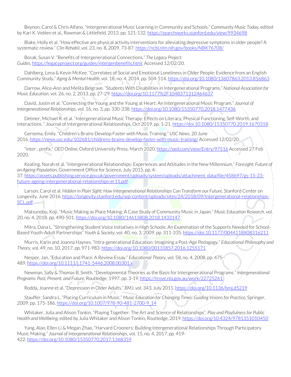Beynon, Carol & Chris Alfano. "Intergenerational Music Learning in Community and Schools." *Community Music Today*, edited by Kari K. Veblen et al., Rowman & Littlefield, 2013. pp. 121-132. <https://searchworks.stanford.edu/view/9934698>

 Blake, Holly et al. "How effective are physical activity interventions for alleviating depressive symptoms in older people? A systematic review." *Clin Rehabil*, vol. 23, no. 8, 2009. 73-87. <https://ncbi.nlm.nih.gov/books/NBK76708/>

 Bosak, Susan V. "Benefits of Intergenerational Connections." *The Legacy Project: Guides*, [https://legacyproject.org/guides/intergenbenefits.html.](https://legacyproject.org/guides/intergenbenefits.html) Accessed 12/02/20.

 Dahlberg, Lena & Kevin McKee. "Correlates of Social and Emotional Loneliness in Older People: Evidence from an English Community Study." *Aging & Mental Health*, vol. 18, no. 4, 2014. pp. 504-514. <https://doi.org/10.1080/13607863.2013.856863>

 Darrow, Alice-Ann and Melita Belgrave. "Students With Disabilities in Intergenerational Programs." *National Association for Music Education*, vol. 26, no. 2, 2013. pp. 27-29. <https://doi.org/10.1177%2F1048371312464637>

 David, Justin et al. "Connecting the Young and the Young at Heart: An Intergenerational Music Program." *Journal of Intergenerational Relationships*, vol. 16, no. 3, pp. 330-338. <https://doi.org/10.1080/15350770.2018.1477436>

 Detmer, Michael R. et al. "Intergenerational Music Therapy: Effects on Literacy, Physical Functioning, Self-Worth, and Interactions." Journal of Intergenerational Relationships, Oct 2019. pp. 1-21. <https://doi.10.1080/15350770.2019.1670318>

 Gersema, Emily. "Children's Brains Develop Faster with Music Training." *USC News*, 20 June 2016. <https://news.usc.edu/102681/childrens-brains-develop-faster-with-music-training/> Accessed 12/02/20.

 "inter-, prefix." *OED Online*, Oxford University Press, March 2020, <https://oed.com/view/Entry/97516> Accessed 27 Feb 2020.

 Keating, Norah et al. "Intergenerational Relationships: Experiences and Attitudes in the New Millennium." *Foresight: Future of an Ageing Population*, Government Office for Science, July 2015. pp. 4-

37. [https://assets.publishing.service.gov.uk/government/uploads/system/uploads/attachment\\_data/file/458697/gs-15-23](https://assets.publishing.service.gov.uk/government/uploads/system/uploads/attachment_data/file/458697/gs-15-23-future-ageing-intergenerational-relationships-er11.pdf) [future-ageing-intergenerational-relationships-er11.pdf](https://assets.publishing.service.gov.uk/government/uploads/system/uploads/attachment_data/file/458697/gs-15-23-future-ageing-intergenerational-relationships-er11.pdf)

 Larson, Carol et al. *Hidden in Plain Sight: How Intergenerational Relationships Can Transform our Future*. Stanford Center on Longevity, June 2016. [https://longevity.stanford.edu/wp-content/uploads/sites/24/2018/09/Intergenerational-relationships-](https://longevity.stanford.edu/wp-content/uploads/sites/24/2018/09/Intergenerational-relationships-SCL.pdf)[SCL.pdf](https://longevity.stanford.edu/wp-content/uploads/sites/24/2018/09/Intergenerational-relationships-SCL.pdf)-

 Matsunobu, Koji. "Music Making as Place Making: A Case Study of Community Music in Japan." *Music Education Research*, vol. 20, no. 4, 2018. pp. 490-501. <https://doi.org/10.1080/14613808.2018.1433147>

 Mitra, Dana L. "Strengthening Student Voice Initiatives in High Schools: An Examination of the Supports Needed for School-Based Youth-Adult Partnerships" *Youth & Society*, vol. 40, no. 3, 2009. pp. 311-335. <https://doi.10.1177/0044118X08316211>

 Murris, Karin and Joanna Haynes. "Intra-generational Education: Imagining a Post-Age Pedagogy." *Educational Philosophy and Theory*, vol. 49, no. 10, 2017. pp. 971-983. <https://doi.org/10.1080/00131857.2016.1255171>

 Nespor, Jan. "Education and Place: A Review Essay." *Educational Theory*, vol. 58, no. 4, 2008. pp. 475- 489. <https://doi.org/10.1111/j.1741-5446.2008.00301.x>

 Newman, Sally & Thomas B. Smith. "Developmental Theories as the Basis for Intergenerational Programs." *Intergenerational Programs: Past, Present, and Future*, Routledge, 1997. pp. 3-19. <https://trove.nla.gov.au/work/22725261>

Rodda, Joanne et al. "Depression in Older Adults." *BMJ*, vol. 343, July 2011. <https://doi.org/10.1136/bmj.d5219>

 Stauffer, Sandra L. "Placing Curriculum in Music." *Music Education for Changing Times: Guiding Visions for Practice*, Springer, 2009. pp. 175-186. [https://doi.org/10.1007/978-90-481-2700-9\\_14](https://doi.org/10.1007/978-90-481-2700-9_14)

 Whitaker, Julia and Alison Tonkin. "Playing Together: The Art and Science of Relationships". *Play and Playfulness for Public Health and Wellbeing*, edited by Julia Whitaker and Alison Tonkin, Routledge, 2019. <https://doi.org/10.4324/9781351010450>

 Yang, Alan, Ellen Li & Megan Zhao. "Harvard Crooners: Building Intergenerational Relationships Through Participatory Music Making." *Journal of Intergenerational Relationships*, vol. 15, no. 4, 2017. pp. 419- 422. <https://doi.org/10.1080/15350770.2017.1368359>